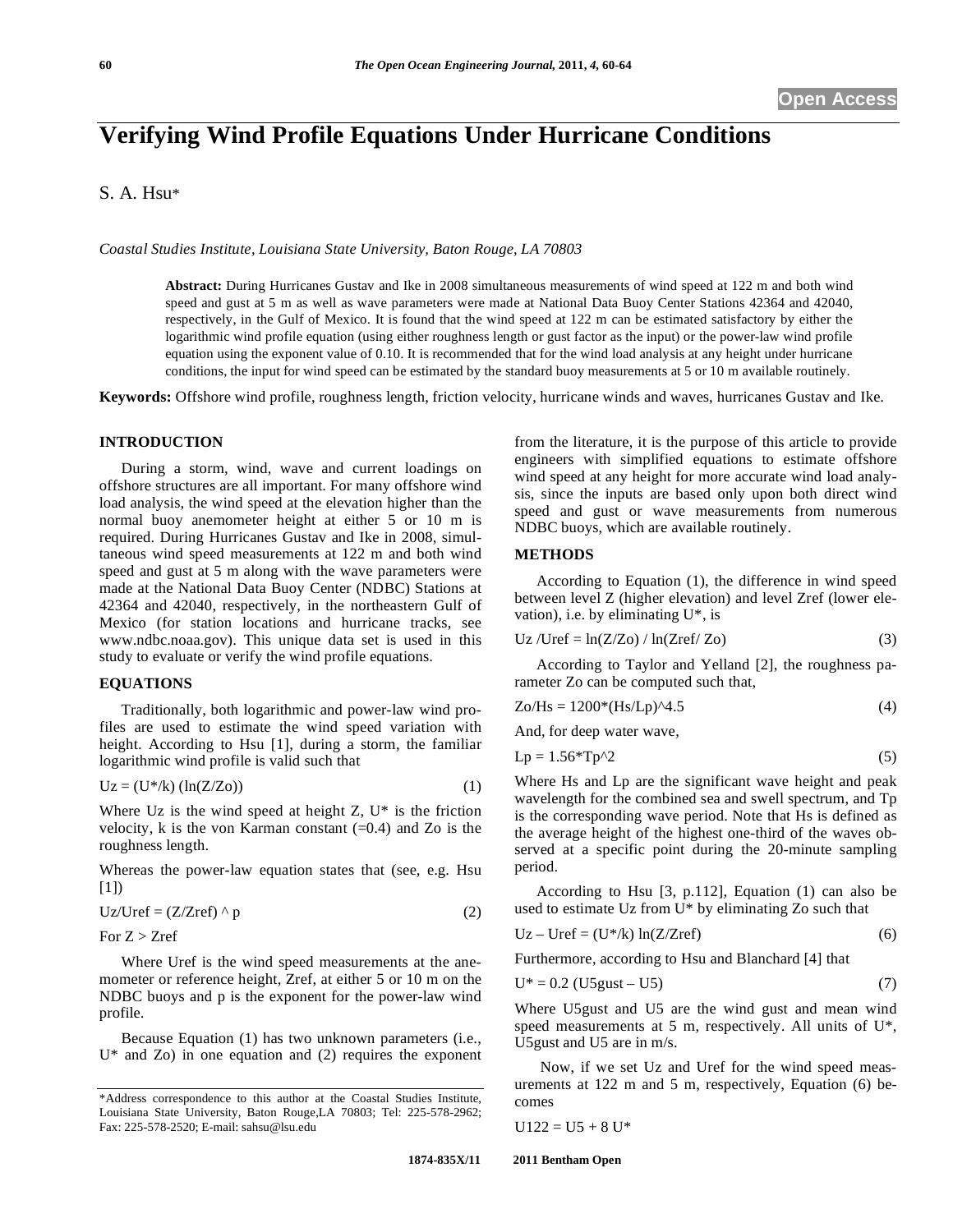# **Verifying Wind Profile Equations Under Hurricane Conditions**

## S. A. Hsu\*

*Coastal Studies Institute, Louisiana State University, Baton Rouge, LA 70803* 

**Abstract:** During Hurricanes Gustav and Ike in 2008 simultaneous measurements of wind speed at 122 m and both wind speed and gust at 5 m as well as wave parameters were made at National Data Buoy Center Stations 42364 and 42040, respectively, in the Gulf of Mexico. It is found that the wind speed at 122 m can be estimated satisfactory by either the logarithmic wind profile equation (using either roughness length or gust factor as the input) or the power-law wind profile equation using the exponent value of 0.10. It is recommended that for the wind load analysis at any height under hurricane conditions, the input for wind speed can be estimated by the standard buoy measurements at 5 or 10 m available routinely.

**Keywords:** Offshore wind profile, roughness length, friction velocity, hurricane winds and waves, hurricanes Gustav and Ike.

#### **INTRODUCTION**

During a storm, wind, wave and current loadings on offshore structures are all important. For many offshore wind load analysis, the wind speed at the elevation higher than the normal buoy anemometer height at either 5 or 10 m is required. During Hurricanes Gustav and Ike in 2008, simultaneous wind speed measurements at 122 m and both wind speed and gust at 5 m along with the wave parameters were made at the National Data Buoy Center (NDBC) Stations at 42364 and 42040, respectively, in the northeastern Gulf of Mexico (for station locations and hurricane tracks, see www.ndbc.noaa.gov). This unique data set is used in this study to evaluate or verify the wind profile equations.

#### **EQUATIONS**

Traditionally, both logarithmic and power-law wind profiles are used to estimate the wind speed variation with height. According to Hsu [1], during a storm, the familiar logarithmic wind profile is valid such that

$$
Uz = (U^* / k) (\ln(Z/Z_0))
$$
 (1)

Where Uz is the wind speed at height  $Z$ ,  $U^*$  is the friction velocity,  $k$  is the von Karman constant  $(=0.4)$  and Zo is the roughness length.

Whereas the power-law equation states that (see, e.g. Hsu  $[1]$ 

$$
Uz/Uref = (Z/Zref) \wedge p \tag{2}
$$

For  $Z > Zref$ 

Where Uref is the wind speed measurements at the anemometer or reference height, Zref, at either 5 or 10 m on the NDBC buoys and p is the exponent for the power-law wind profile.

Because Equation (1) has two unknown parameters (i.e.,  $U^*$  and Zo) in one equation and (2) requires the exponent from the literature, it is the purpose of this article to provide engineers with simplified equations to estimate offshore wind speed at any height for more accurate wind load analysis, since the inputs are based only upon both direct wind speed and gust or wave measurements from numerous NDBC buoys, which are available routinely.

#### **METHODS**

According to Equation (1), the difference in wind speed between level Z (higher elevation) and level Zref (lower elevation), i.e. by eliminating  $U^*$ , is

$$
Uz / Uref = ln(Z/Zo) / ln(Zref/Zo)
$$
 (3)

According to Taylor and Yelland [2], the roughness parameter Zo can be computed such that,

$$
Zo/Hs = 1200*(Hs/Lp)A.5
$$
 (4)

And, for deep water wave,

$$
Lp = 1.56*Tp^2 \tag{5}
$$

Where Hs and Lp are the significant wave height and peak wavelength for the combined sea and swell spectrum, and Tp is the corresponding wave period. Note that Hs is defined as the average height of the highest one-third of the waves observed at a specific point during the 20-minute sampling period.

According to Hsu [3, p.112], Equation (1) can also be used to estimate Uz from U\* by eliminating Zo such that

$$
Uz - Uref = (U^* / k) ln(Z/Zref)
$$
 (6)

Furthermore, according to Hsu and Blanchard [4] that

$$
U^* = 0.2 \text{ (U5gust} - U5) \tag{7}
$$

Where U5gust and U5 are the wind gust and mean wind speed measurements at 5 m, respectively. All units of U\*, U5gust and U5 are in m/s.

 Now, if we set Uz and Uref for the wind speed measurements at 122 m and 5 m, respectively, Equation (6) becomes

$$
U122 = U5 + 8 U^*
$$

<sup>\*</sup>Address correspondence to this author at the Coastal Studies Institute, Louisiana State University, Baton Rouge,LA 70803; Tel: 225-578-2962; Fax: 225-578-2520; E-mail: sahsu@lsu.edu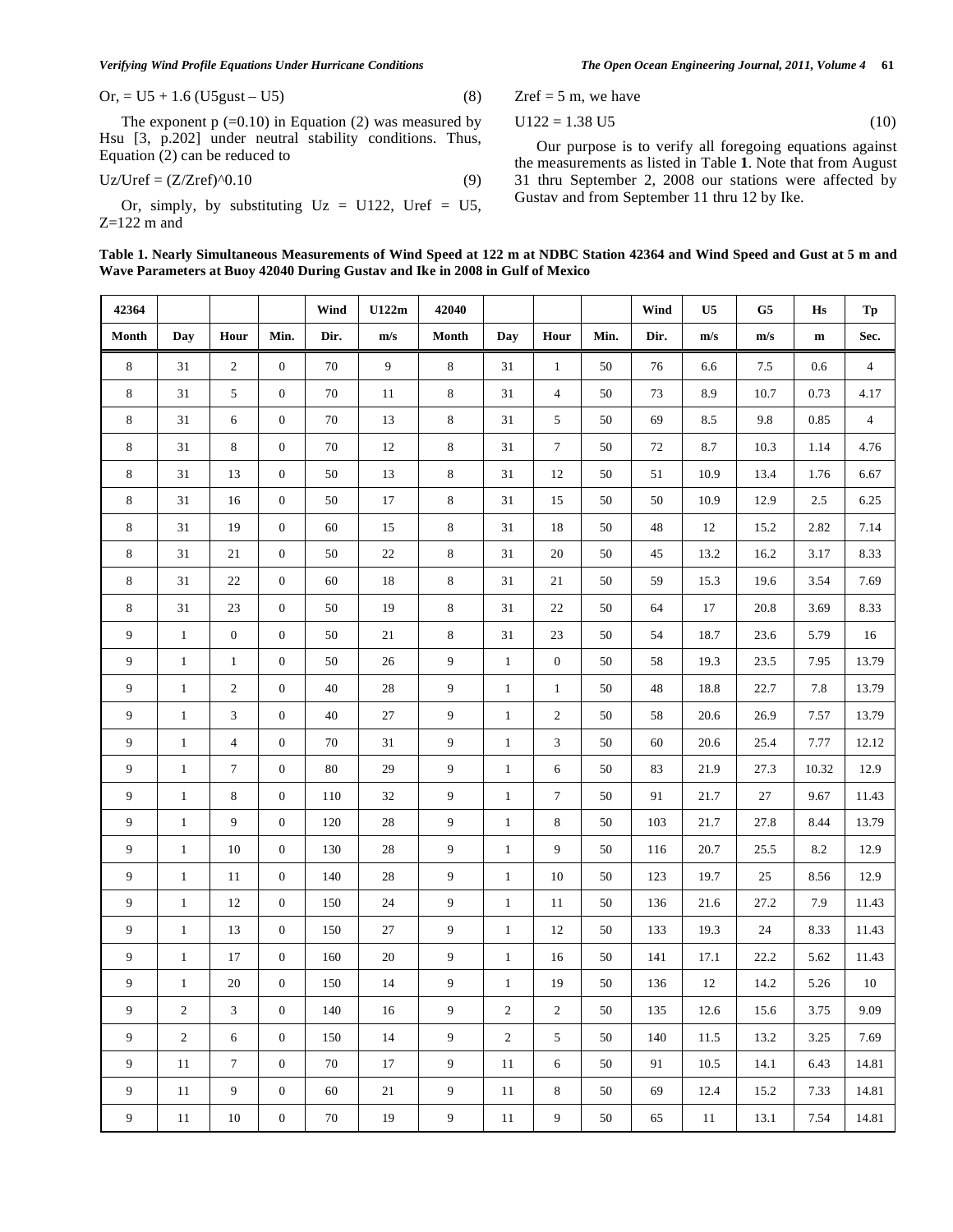*Verifying Wind Profile Equations Under Hurricane Conditions The Open Ocean Engineering Journal, 2011, Volume 4* **61**

Or, = U5 + 1.6 (U5gust – U5) 
$$
(8)
$$

The exponent  $p (=0.10)$  in Equation (2) was measured by Hsu [3, p.202] under neutral stability conditions. Thus, Equation (2) can be reduced to

$$
Uz/Uref = (Z/Zref)^{0}.10
$$
 (9)

Or, simply, by substituting  $Uz = U122$ , Uref = U5,  $Z=122$  m and

Zref  $= 5$  m, we have

$$
U122 = 1.38 \text{ U}5 \tag{10}
$$

Our purpose is to verify all foregoing equations against the measurements as listed in Table **1**. Note that from August 31 thru September 2, 2008 our stations were affected by Gustav and from September 11 thru 12 by Ike.

| 42364          |                |                  |                  | Wind   | U122m          | 42040          |                |                  |        | Wind   | U <sub>5</sub>          | G <sub>5</sub> | Hs        | Tp             |
|----------------|----------------|------------------|------------------|--------|----------------|----------------|----------------|------------------|--------|--------|-------------------------|----------------|-----------|----------------|
| Month          | Day            | Hour             | Min.             | Dir.   | m/s            | Month          | Day            | Hour             | Min.   | Dir.   | $\mathbf{m}/\mathbf{s}$ | m/s            | ${\bf m}$ | Sec.           |
| $\,8\,$        | 31             | $\sqrt{2}$       | $\boldsymbol{0}$ | $70\,$ | $\overline{9}$ | $\,8\,$        | 31             | $\mathbf{1}$     | 50     | 76     | 6.6                     | 7.5            | 0.6       | $\overline{4}$ |
| 8              | 31             | 5                | $\mathbf{0}$     | $70\,$ | 11             | 8              | 31             | $\overline{4}$   | 50     | 73     | 8.9                     | 10.7           | 0.73      | 4.17           |
| 8              | 31             | 6                | $\mathbf{0}$     | $70\,$ | 13             | $\,8\,$        | 31             | 5                | 50     | 69     | 8.5                     | 9.8            | 0.85      | $\overline{4}$ |
| 8              | 31             | $\,8\,$          | $\boldsymbol{0}$ | $70\,$ | 12             | 8              | 31             | $\overline{7}$   | $50\,$ | $72\,$ | 8.7                     | 10.3           | 1.14      | 4.76           |
| 8              | 31             | 13               | $\boldsymbol{0}$ | $50\,$ | 13             | 8              | 31             | 12               | 50     | 51     | 10.9                    | 13.4           | 1.76      | 6.67           |
| 8              | 31             | 16               | $\boldsymbol{0}$ | $50\,$ | 17             | 8              | 31             | 15               | $50\,$ | 50     | 10.9                    | 12.9           | 2.5       | 6.25           |
| 8              | 31             | 19               | $\mathbf{0}$     | 60     | 15             | 8              | 31             | 18               | 50     | 48     | 12                      | 15.2           | 2.82      | 7.14           |
| 8              | 31             | $21\,$           | $\boldsymbol{0}$ | $50\,$ | $22\,$         | 8              | 31             | 20               | 50     | 45     | 13.2                    | 16.2           | 3.17      | 8.33           |
| 8              | 31             | 22               | $\overline{0}$   | 60     | $18\,$         | $\,8\,$        | 31             | 21               | 50     | 59     | 15.3                    | 19.6           | 3.54      | 7.69           |
| 8              | $31\,$         | $23\,$           | $\boldsymbol{0}$ | $50\,$ | 19             | 8              | 31             | 22               | 50     | 64     | 17                      | 20.8           | 3.69      | 8.33           |
| 9              | $\mathbf{1}$   | $\boldsymbol{0}$ | $\overline{0}$   | $50\,$ | 21             | 8              | 31             | 23               | 50     | 54     | 18.7                    | 23.6           | 5.79      | 16             |
| 9              | $\mathbf{1}$   | $\mathbf{1}$     | $\boldsymbol{0}$ | $50\,$ | 26             | 9              | $\mathbf{1}$   | $\boldsymbol{0}$ | $50\,$ | 58     | 19.3                    | 23.5           | 7.95      | 13.79          |
| 9              | $\mathbf{1}$   | $\boldsymbol{2}$ | $\overline{0}$   | $40\,$ | $28\,$         | 9              | $\mathbf{1}$   | $\mathbf{1}$     | 50     | $48\,$ | 18.8                    | 22.7           | 7.8       | 13.79          |
| 9              | $\mathbf{1}$   | 3                | $\boldsymbol{0}$ | $40\,$ | $27\,$         | 9              | $\mathbf{1}$   | $\mathbf{2}$     | 50     | 58     | 20.6                    | 26.9           | 7.57      | 13.79          |
| 9              | $\mathbf{1}$   | $\overline{4}$   | $\mathbf{0}$     | $70\,$ | 31             | 9              | $\mathbf{1}$   | 3                | 50     | 60     | 20.6                    | 25.4           | 7.77      | 12.12          |
| 9              | $\mathbf{1}$   | $\tau$           | $\mathbf{0}$     | $80\,$ | 29             | 9              | $\mathbf{1}$   | 6                | 50     | 83     | 21.9                    | 27.3           | 10.32     | 12.9           |
| 9              | $\mathbf{1}$   | 8                | $\boldsymbol{0}$ | 110    | 32             | 9              | $\mathbf{1}$   | $\overline{7}$   | 50     | 91     | 21.7                    | 27             | 9.67      | 11.43          |
| 9              | $\mathbf{1}$   | 9                | $\mathbf{0}$     | 120    | $28\,$         | 9              | $\mathbf{1}$   | 8                | 50     | 103    | 21.7                    | 27.8           | 8.44      | 13.79          |
| 9              | $\mathbf{1}$   | $10\,$           | $\boldsymbol{0}$ | 130    | $28\,$         | 9              | $\mathbf{1}$   | 9                | 50     | 116    | 20.7                    | 25.5           | 8.2       | 12.9           |
| 9              | $\mathbf{1}$   | $11\,$           | $\boldsymbol{0}$ | 140    | $28\,$         | 9              | $\mathbf{1}$   | 10               | $50\,$ | 123    | 19.7                    | $25\,$         | 8.56      | 12.9           |
| 9              | $\mathbf{1}$   | 12               | $\boldsymbol{0}$ | 150    | 24             | 9              | $\mathbf{1}$   | 11               | 50     | 136    | 21.6                    | 27.2           | 7.9       | 11.43          |
| 9              | $\mathbf{1}$   | 13               | $\boldsymbol{0}$ | 150    | $27\,$         | 9              | $\mathbf{1}$   | 12               | 50     | 133    | 19.3                    | 24             | 8.33      | 11.43          |
| 9              | $\mathbf{1}$   | $17\,$           | $\boldsymbol{0}$ | 160    | $20\,$         | 9              | $\mathbf{1}$   | 16               | 50     | 141    | 17.1                    | 22.2           | 5.62      | 11.43          |
| 9              | $\mathbf{1}$   | $20\,$           | $\boldsymbol{0}$ | 150    | 14             | 9              | $\mathbf{1}$   | 19               | $50\,$ | 136    | 12                      | 14.2           | 5.26      | $10\,$         |
| 9              | $\overline{2}$ | $\mathfrak{Z}$   | $\overline{0}$   | 140    | 16             | $\overline{9}$ | $\overline{c}$ | $\overline{2}$   | 50     | 135    | 12.6                    | 15.6           | 3.75      | 9.09           |
| 9              | $\overline{2}$ | 6                | $\overline{0}$   | 150    | 14             | $\overline{9}$ | $\overline{c}$ | 5 <sup>5</sup>   | 50     | 140    | 11.5                    | 13.2           | 3.25      | 7.69           |
| $\overline{9}$ | 11             | $7\phantom{.0}$  | $\mathbf{0}$     | 70     | 17             | $\overline{9}$ | 11             | 6                | 50     | 91     | 10.5                    | 14.1           | 6.43      | 14.81          |
| $\overline{9}$ | $11\,$         | $\overline{9}$   | $\mathbf{0}$     | 60     | 21             | $\overline{9}$ | 11             | 8                | $50\,$ | 69     | 12.4                    | 15.2           | 7.33      | 14.81          |
| $\overline{9}$ | 11             | 10               | $\boldsymbol{0}$ | 70     | 19             | $\overline{9}$ | 11             | $\overline{9}$   | 50     | 65     | 11                      | 13.1           | 7.54      | 14.81          |

**Table 1. Nearly Simultaneous Measurements of Wind Speed at 122 m at NDBC Station 42364 and Wind Speed and Gust at 5 m and Wave Parameters at Buoy 42040 During Gustav and Ike in 2008 in Gulf of Mexico**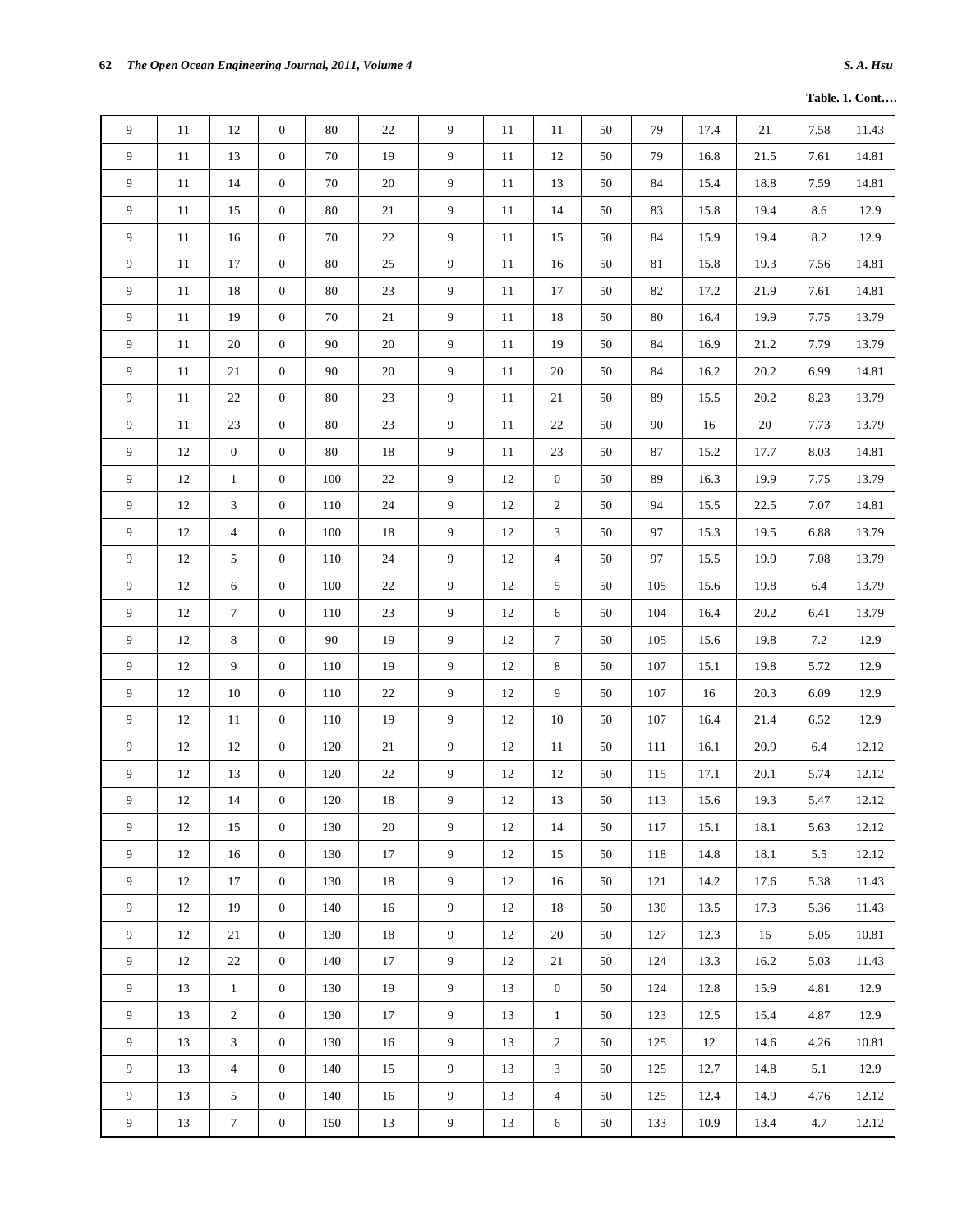|  |  | <b>Table. 1. Cont</b> |
|--|--|-----------------------|
|--|--|-----------------------|

| 9              | 11     | 12               | $\mathbf{0}$     | 80      | 22     | 9              | 11     | 11               | 50     | 79  | 17.4   | 21   | 7.58    | 11.43 |
|----------------|--------|------------------|------------------|---------|--------|----------------|--------|------------------|--------|-----|--------|------|---------|-------|
| 9              | 11     | 13               | $\mathbf{0}$     | 70      | 19     | $\overline{9}$ | 11     | 12               | 50     | 79  | 16.8   | 21.5 | 7.61    | 14.81 |
| 9              | 11     | 14               | $\mathbf{0}$     | 70      | 20     | 9              | $11\,$ | 13               | 50     | 84  | 15.4   | 18.8 | 7.59    | 14.81 |
| 9              | 11     | 15               | $\boldsymbol{0}$ | 80      | 21     | 9              | $11\,$ | 14               | $50\,$ | 83  | 15.8   | 19.4 | 8.6     | 12.9  |
| 9              | 11     | 16               | $\mathbf{0}$     | 70      | $22\,$ | 9              | 11     | 15               | 50     | 84  | 15.9   | 19.4 | $8.2\,$ | 12.9  |
| 9              | $11\,$ | $17\,$           | $\boldsymbol{0}$ | 80      | 25     | 9              | $11\,$ | 16               | 50     | 81  | 15.8   | 19.3 | 7.56    | 14.81 |
| 9              | 11     | 18               | $\boldsymbol{0}$ | 80      | 23     | 9              | $11\,$ | 17               | 50     | 82  | 17.2   | 21.9 | 7.61    | 14.81 |
| 9              | 11     | 19               | $\mathbf{0}$     | 70      | 21     | 9              | 11     | 18               | 50     | 80  | 16.4   | 19.9 | 7.75    | 13.79 |
| 9              | 11     | 20               | $\boldsymbol{0}$ | 90      | 20     | 9              | 11     | 19               | 50     | 84  | 16.9   | 21.2 | 7.79    | 13.79 |
| 9              | 11     | 21               | $\mathbf{0}$     | 90      | 20     | $\overline{9}$ | 11     | 20               | 50     | 84  | 16.2   | 20.2 | 6.99    | 14.81 |
| 9              | 11     | $22\,$           | $\boldsymbol{0}$ | 80      | 23     | $\overline{9}$ | $11\,$ | 21               | 50     | 89  | 15.5   | 20.2 | 8.23    | 13.79 |
| 9              | $11\,$ | 23               | $\boldsymbol{0}$ | 80      | $23\,$ | 9              | 11     | 22               | 50     | 90  | 16     | 20   | 7.73    | 13.79 |
| 9              | $12\,$ | $\boldsymbol{0}$ | $\boldsymbol{0}$ | 80      | 18     | $\overline{9}$ | $11\,$ | 23               | 50     | 87  | 15.2   | 17.7 | 8.03    | 14.81 |
| 9              | 12     | $\mathbf{1}$     | $\boldsymbol{0}$ | 100     | $22\,$ | 9              | $12\,$ | $\boldsymbol{0}$ | 50     | 89  | 16.3   | 19.9 | 7.75    | 13.79 |
| 9              | 12     | 3                | $\boldsymbol{0}$ | 110     | $24\,$ | 9              | 12     | $\overline{2}$   | 50     | 94  | 15.5   | 22.5 | 7.07    | 14.81 |
| 9              | 12     | $\overline{4}$   | $\boldsymbol{0}$ | 100     | 18     | 9              | 12     | 3                | $50\,$ | 97  | 15.3   | 19.5 | 6.88    | 13.79 |
| 9              | 12     | 5                | $\boldsymbol{0}$ | 110     | 24     | 9              | 12     | $\overline{4}$   | 50     | 97  | 15.5   | 19.9 | 7.08    | 13.79 |
| 9              | $12\,$ | 6                | $\boldsymbol{0}$ | 100     | 22     | 9              | 12     | 5                | $50\,$ | 105 | 15.6   | 19.8 | 6.4     | 13.79 |
| 9              | $12\,$ | $\boldsymbol{7}$ | $\mathbf{0}$     | 110     | 23     | 9              | 12     | 6                | 50     | 104 | 16.4   | 20.2 | 6.41    | 13.79 |
| 9              | $12\,$ | $\,8\,$          | $\boldsymbol{0}$ | $90\,$  | $19\,$ | 9              | $12\,$ | $\boldsymbol{7}$ | 50     | 105 | 15.6   | 19.8 | $7.2\,$ | 12.9  |
| 9              | 12     | 9                | $\boldsymbol{0}$ | 110     | 19     | 9              | 12     | 8                | 50     | 107 | 15.1   | 19.8 | 5.72    | 12.9  |
| $\overline{9}$ | $12\,$ | $10\,$           | $\boldsymbol{0}$ | $110\,$ | $22\,$ | $\overline{9}$ | $12\,$ | $\overline{9}$   | 50     | 107 | $16\,$ | 20.3 | 6.09    | 12.9  |
| 9              | 12     | $11\,$           | $\boldsymbol{0}$ | 110     | 19     | 9              | 12     | 10               | 50     | 107 | 16.4   | 21.4 | 6.52    | 12.9  |
| 9              | 12     | 12               | $\boldsymbol{0}$ | 120     | $21\,$ | 9              | 12     | 11               | 50     | 111 | 16.1   | 20.9 | 6.4     | 12.12 |
| 9              | 12     | 13               | $\boldsymbol{0}$ | 120     | 22     | 9              | 12     | 12               | 50     | 115 | 17.1   | 20.1 | 5.74    | 12.12 |
| 9              | 12     | 14               | $\mathbf{0}$     | 120     | $18\,$ | 9              | 12     | 13               | 50     | 113 | 15.6   | 19.3 | 5.47    | 12.12 |
| 9              | 12     | 15               | $\overline{0}$   | 130     | 20     | 9              | 12     | 14               | 50     | 117 | 15.1   | 18.1 | 5.63    | 12.12 |
| 9              | 12     | 16               | $\mathbf{0}$     | 130     | 17     | $\overline{9}$ | 12     | 15               | 50     | 118 | 14.8   | 18.1 | 5.5     | 12.12 |
| 9              | 12     | 17               | $\mathbf{0}$     | 130     | 18     | $\overline{9}$ | 12     | 16               | 50     | 121 | 14.2   | 17.6 | 5.38    | 11.43 |
| 9              | 12     | 19               | $\mathbf{0}$     | 140     | 16     | $\overline{9}$ | 12     | 18               | 50     | 130 | 13.5   | 17.3 | 5.36    | 11.43 |
| 9              | 12     | 21               | $\mathbf{0}$     | 130     | 18     | 9              | 12     | 20               | 50     | 127 | 12.3   | 15   | 5.05    | 10.81 |
| 9              | 12     | 22               | $\overline{0}$   | 140     | 17     | 9              | 12     | 21               | 50     | 124 | 13.3   | 16.2 | 5.03    | 11.43 |
| 9              | 13     | $\mathbf{1}$     | $\overline{0}$   | 130     | 19     | $\overline{9}$ | 13     | $\overline{0}$   | 50     | 124 | 12.8   | 15.9 | 4.81    | 12.9  |
| 9              | 13     | $\sqrt{2}$       | $\overline{0}$   | 130     | 17     | $\overline{9}$ | 13     | $\mathbf{1}$     | 50     | 123 | 12.5   | 15.4 | 4.87    | 12.9  |
| 9              | 13     | 3                | $\mathbf{0}$     | 130     | 16     | $\overline{9}$ | 13     | $\overline{2}$   | 50     | 125 | 12     | 14.6 | 4.26    | 10.81 |
| 9              | 13     | $\overline{4}$   | $\mathbf{0}$     | 140     | 15     | $\overline{9}$ | 13     | 3                | 50     | 125 | 12.7   | 14.8 | 5.1     | 12.9  |
| 9              | 13     | 5                | $\mathbf{0}$     | 140     | 16     | $\overline{9}$ | 13     | $\overline{4}$   | 50     | 125 | 12.4   | 14.9 | 4.76    | 12.12 |
| 9              | 13     | $\boldsymbol{7}$ | $\boldsymbol{0}$ | 150     | 13     | $\overline{9}$ | 13     | 6                | 50     | 133 | 10.9   | 13.4 | 4.7     | 12.12 |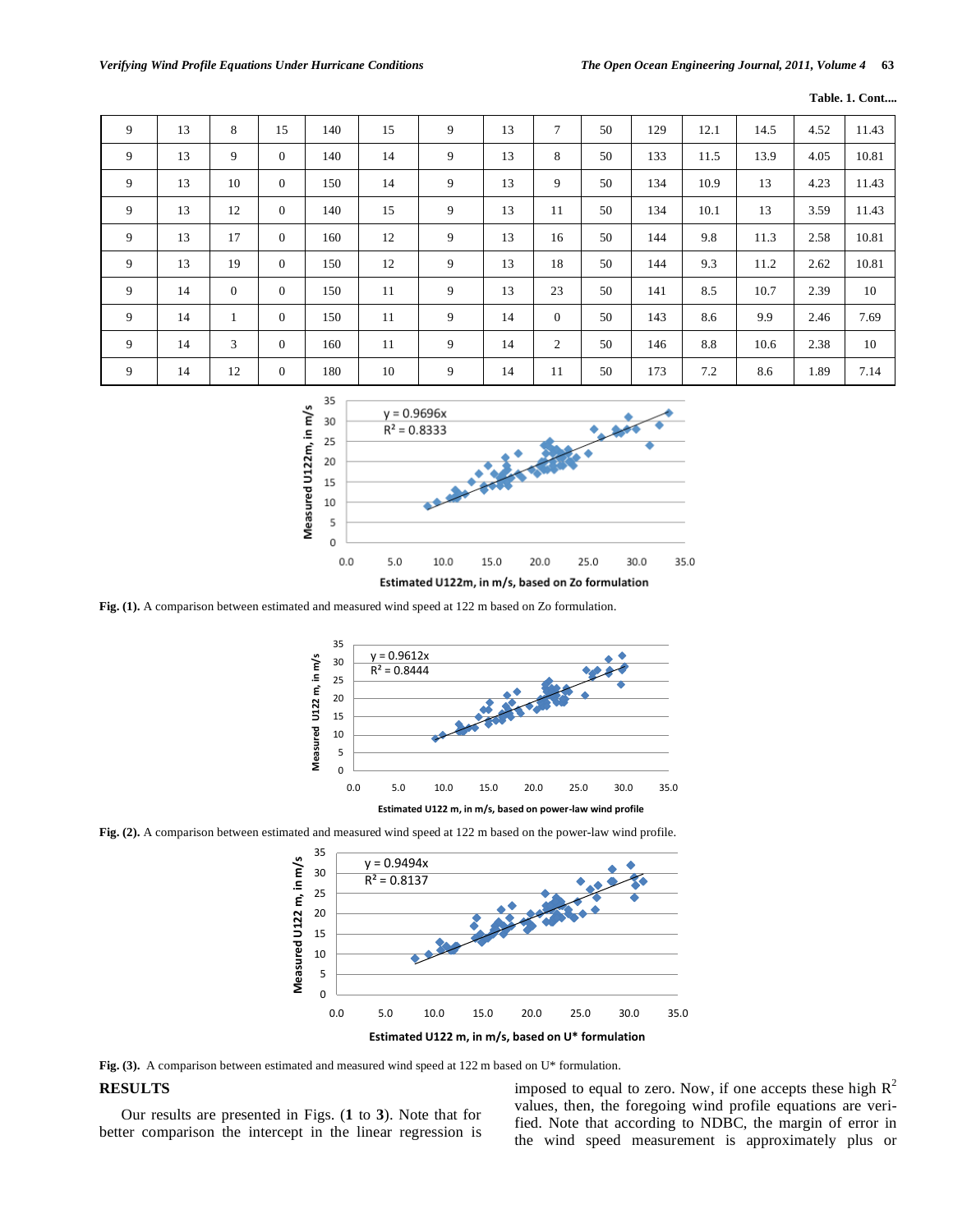| 9 | 13 | 8        | 15           | 140 | 15 | 9 | 13 | 7              | 50 | 129 | 12.1 | 14.5 | 4.52 | 11.43 |
|---|----|----------|--------------|-----|----|---|----|----------------|----|-----|------|------|------|-------|
| 9 | 13 | 9        | $\mathbf{0}$ | 140 | 14 | 9 | 13 | 8              | 50 | 133 | 11.5 | 13.9 | 4.05 | 10.81 |
| 9 | 13 | 10       | $\mathbf{0}$ | 150 | 14 | 9 | 13 | 9              | 50 | 134 | 10.9 | 13   | 4.23 | 11.43 |
| 9 | 13 | 12       | $\mathbf{0}$ | 140 | 15 | 9 | 13 | 11             | 50 | 134 | 10.1 | 13   | 3.59 | 11.43 |
| 9 | 13 | 17       | $\mathbf{0}$ | 160 | 12 | 9 | 13 | 16             | 50 | 144 | 9.8  | 11.3 | 2.58 | 10.81 |
| 9 | 13 | 19       | $\mathbf{0}$ | 150 | 12 | 9 | 13 | 18             | 50 | 144 | 9.3  | 11.2 | 2.62 | 10.81 |
| 9 | 14 | $\theta$ | $\mathbf{0}$ | 150 | 11 | 9 | 13 | 23             | 50 | 141 | 8.5  | 10.7 | 2.39 | 10    |
| 9 | 14 | $\perp$  | $\Omega$     | 150 | 11 | 9 | 14 | $\overline{0}$ | 50 | 143 | 8.6  | 9.9  | 2.46 | 7.69  |
| 9 | 14 | 3        | $\Omega$     | 160 | 11 | 9 | 14 | 2              | 50 | 146 | 8.8  | 10.6 | 2.38 | 10    |
| 9 | 14 | 12       | $\mathbf{0}$ | 180 | 10 | 9 | 14 | 11             | 50 | 173 | 7.2  | 8.6  | 1.89 | 7.14  |



Fig. (1). A comparison between estimated and measured wind speed at 122 m based on Zo formulation.



**Fig. (2).** A comparison between estimated and measured wind speed at 122 m based on the power-law wind profile.



**Fig. (3).** A comparison between estimated and measured wind speed at 122 m based on U\* formulation.

## **RESULTS**

Our results are presented in Figs. (**1** to **3**). Note that for better comparison the intercept in the linear regression is imposed to equal to zero. Now, if one accepts these high  $R^2$ values, then, the foregoing wind profile equations are verified. Note that according to NDBC, the margin of error in the wind speed measurement is approximately plus or

**Table. 1. Cont....**